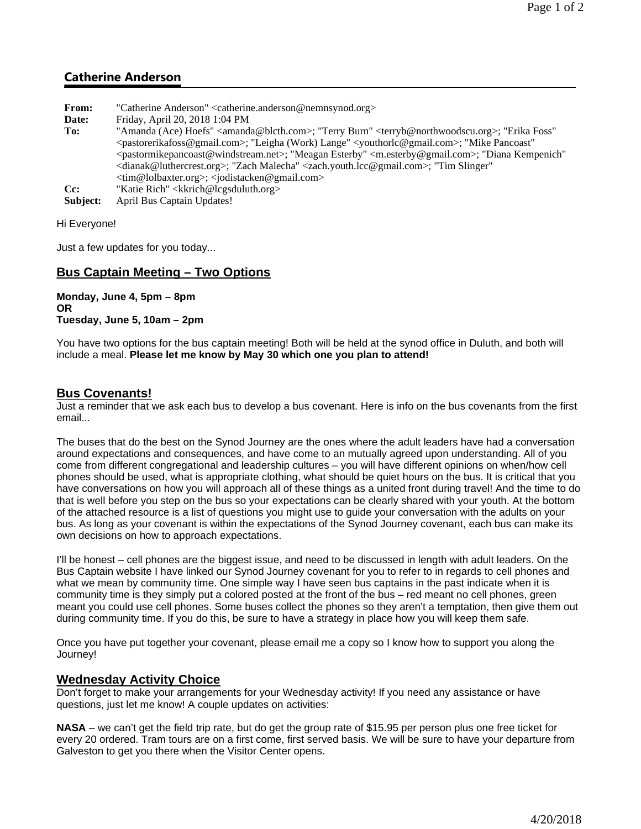# **Catherine Anderson**

| From:    | "Catherine Anderson" <catherine.anderson@nemnsynod.org></catherine.anderson@nemnsynod.org>                                                               |
|----------|----------------------------------------------------------------------------------------------------------------------------------------------------------|
| Date:    | Friday, April 20, 2018 1:04 PM                                                                                                                           |
| To:      | "Amanda (Ace) Hoefs" <amanda@blcth.com>; "Terry Burn" <terryb@northwoodscu.org>; "Erika Foss"</terryb@northwoodscu.org></amanda@blcth.com>               |
|          | <pastorerikafoss@gmail.com>; "Leigha (Work) Lange" <youthorlc@gmail.com>; "Mike Pancoast"</youthorlc@gmail.com></pastorerikafoss@gmail.com>              |
|          | <pastormikepancoast@windstream.net>; "Meagan Esterby" <m.esterby@gmail.com>; "Diana Kempenich"</m.esterby@gmail.com></pastormikepancoast@windstream.net> |
|          | <dianak@luthercrest.org>; "Zach Malecha" <zach.youth.lcc@gmail.com>; "Tim Slinger"</zach.youth.lcc@gmail.com></dianak@luthercrest.org>                   |
|          | <tim@lolbaxter.org>; <jodistacken@gmail.com></jodistacken@gmail.com></tim@lolbaxter.org>                                                                 |
| $Cc$ :   | "Katie Rich" <kkrich@lcgsduluth.org></kkrich@lcgsduluth.org>                                                                                             |
| Subject: | April Bus Captain Updates!                                                                                                                               |

Hi Everyone!

Just a few updates for you today...

## **Bus Captain Meeting – Two Options**

**Monday, June 4, 5pm – 8pm OR Tuesday, June 5, 10am – 2pm**

You have two options for the bus captain meeting! Both will be held at the synod office in Duluth, and both will include a meal. **Please let me know by May 30 which one you plan to attend!**

### **Bus Covenants!**

Just a reminder that we ask each bus to develop a bus covenant. Here is info on the bus covenants from the first email...

The buses that do the best on the Synod Journey are the ones where the adult leaders have had a conversation around expectations and consequences, and have come to an mutually agreed upon understanding. All of you come from different congregational and leadership cultures – you will have different opinions on when/how cell phones should be used, what is appropriate clothing, what should be quiet hours on the bus. It is critical that you have conversations on how you will approach all of these things as a united front during travel! And the time to do that is well before you step on the bus so your expectations can be clearly shared with your youth. At the bottom of the attached resource is a list of questions you might use to guide your conversation with the adults on your bus. As long as your covenant is within the expectations of the Synod Journey covenant, each bus can make its own decisions on how to approach expectations.

I'll be honest – cell phones are the biggest issue, and need to be discussed in length with adult leaders. On the Bus Captain website I have linked our Synod Journey covenant for you to refer to in regards to cell phones and what we mean by community time. One simple way I have seen bus captains in the past indicate when it is community time is they simply put a colored posted at the front of the bus – red meant no cell phones, green meant you could use cell phones. Some buses collect the phones so they aren't a temptation, then give them out during community time. If you do this, be sure to have a strategy in place how you will keep them safe.

Once you have put together your covenant, please email me a copy so I know how to support you along the Journey!

#### **Wednesday Activity Choice**

Don't forget to make your arrangements for your Wednesday activity! If you need any assistance or have questions, just let me know! A couple updates on activities:

**NASA** – we can't get the field trip rate, but do get the group rate of \$15.95 per person plus one free ticket for every 20 ordered. Tram tours are on a first come, first served basis. We will be sure to have your departure from Galveston to get you there when the Visitor Center opens.